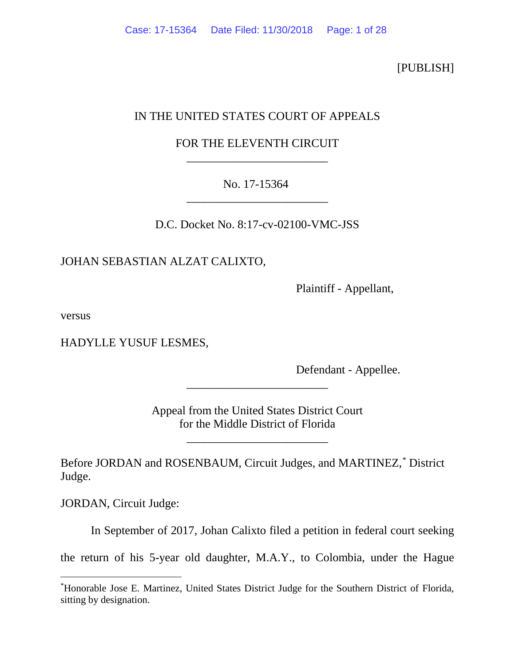[PUBLISH]

# IN THE UNITED STATES COURT OF APPEALS

# FOR THE ELEVENTH CIRCUIT \_\_\_\_\_\_\_\_\_\_\_\_\_\_\_\_\_\_\_\_\_\_\_\_

# No. 17-15364 \_\_\_\_\_\_\_\_\_\_\_\_\_\_\_\_\_\_\_\_\_\_\_\_

D.C. Docket No. 8:17-cv-02100-VMC-JSS

## JOHAN SEBASTIAN ALZAT CALIXTO,

Plaintiff - Appellant,

versus

HADYLLE YUSUF LESMES,

Defendant - Appellee.

Appeal from the United States District Court for the Middle District of Florida

\_\_\_\_\_\_\_\_\_\_\_\_\_\_\_\_\_\_\_\_\_\_\_\_

\_\_\_\_\_\_\_\_\_\_\_\_\_\_\_\_\_\_\_\_\_\_\_\_

Before JORDAN and ROSENBAUM, Circuit Judges, and MARTINEZ,[\\*](#page-0-0) District Judge.

JORDAN, Circuit Judge:

In September of 2017, Johan Calixto filed a petition in federal court seeking

the return of his 5-year old daughter, M.A.Y., to Colombia, under the Hague

<span id="page-0-0"></span> <sup>\*</sup> Honorable Jose E. Martinez, United States District Judge for the Southern District of Florida, sitting by designation.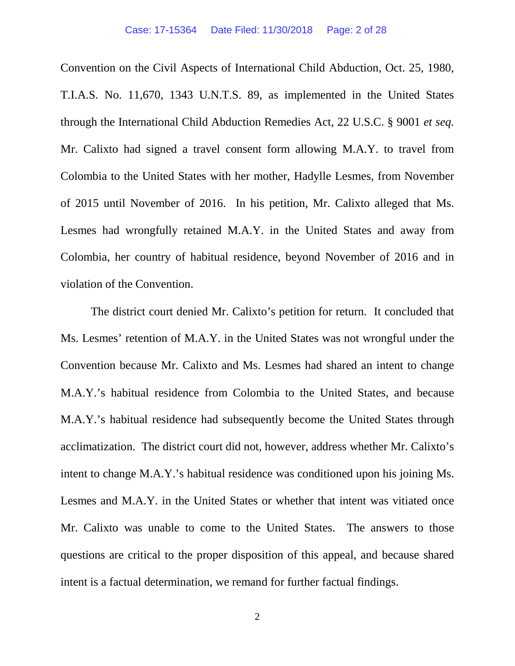Convention on the Civil Aspects of International Child Abduction, Oct. 25, 1980, T.I.A.S. No. 11,670, 1343 U.N.T.S. 89, as implemented in the United States through the International Child Abduction Remedies Act, 22 U.S.C. § 9001 *et seq.* Mr. Calixto had signed a travel consent form allowing M.A.Y. to travel from Colombia to the United States with her mother, Hadylle Lesmes, from November of 2015 until November of 2016. In his petition, Mr. Calixto alleged that Ms. Lesmes had wrongfully retained M.A.Y. in the United States and away from Colombia, her country of habitual residence, beyond November of 2016 and in violation of the Convention.

The district court denied Mr. Calixto's petition for return. It concluded that Ms. Lesmes' retention of M.A.Y. in the United States was not wrongful under the Convention because Mr. Calixto and Ms. Lesmes had shared an intent to change M.A.Y.'s habitual residence from Colombia to the United States, and because M.A.Y.'s habitual residence had subsequently become the United States through acclimatization. The district court did not, however, address whether Mr. Calixto's intent to change M.A.Y.'s habitual residence was conditioned upon his joining Ms. Lesmes and M.A.Y. in the United States or whether that intent was vitiated once Mr. Calixto was unable to come to the United States. The answers to those questions are critical to the proper disposition of this appeal, and because shared intent is a factual determination, we remand for further factual findings.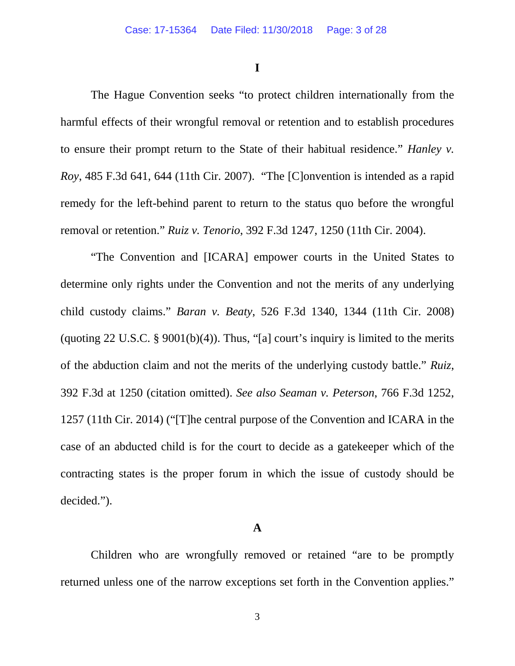**I**

The Hague Convention seeks "to protect children internationally from the harmful effects of their wrongful removal or retention and to establish procedures to ensure their prompt return to the State of their habitual residence." *Hanley v. Roy*, 485 F.3d 641, 644 (11th Cir. 2007). "The [C]onvention is intended as a rapid remedy for the left-behind parent to return to the status quo before the wrongful removal or retention." *Ruiz v. Tenorio*, 392 F.3d 1247, 1250 (11th Cir. 2004).

"The Convention and [ICARA] empower courts in the United States to determine only rights under the Convention and not the merits of any underlying child custody claims." *Baran v. Beaty*, 526 F.3d 1340, 1344 (11th Cir. 2008) (quoting  $22 \text{ U.S.C. }$ §  $9001(b)(4)$ ). Thus, "[a] court's inquiry is limited to the merits of the abduction claim and not the merits of the underlying custody battle." *Ruiz*, 392 F.3d at 1250 (citation omitted). *See also Seaman v. Peterson*, 766 F.3d 1252, 1257 (11th Cir. 2014) ("[T]he central purpose of the Convention and ICARA in the case of an abducted child is for the court to decide as a gatekeeper which of the contracting states is the proper forum in which the issue of custody should be decided.").

## **A**

Children who are wrongfully removed or retained "are to be promptly returned unless one of the narrow exceptions set forth in the Convention applies."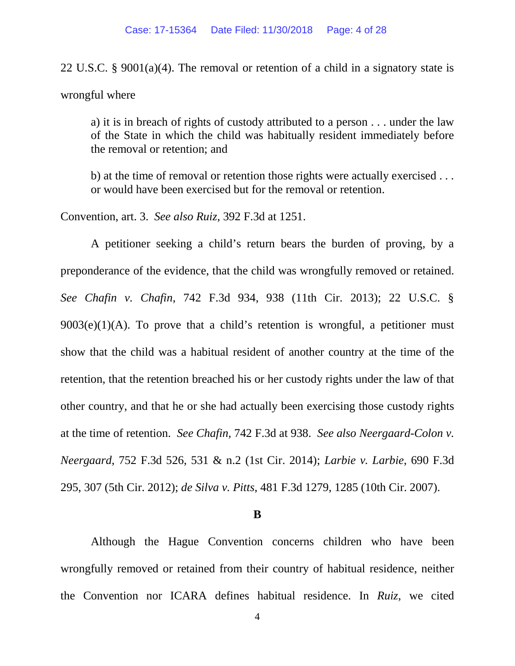22 U.S.C. § 9001(a)(4). The removal or retention of a child in a signatory state is wrongful where

a) it is in breach of rights of custody attributed to a person . . . under the law of the State in which the child was habitually resident immediately before the removal or retention; and

b) at the time of removal or retention those rights were actually exercised . . . or would have been exercised but for the removal or retention.

Convention, art. 3. *See also Ruiz*, 392 F.3d at 1251.

A petitioner seeking a child's return bears the burden of proving, by a preponderance of the evidence, that the child was wrongfully removed or retained. *See Chafin v. Chafin*, 742 F.3d 934, 938 (11th Cir. 2013); 22 U.S.C. §  $9003(e)(1)(A)$ . To prove that a child's retention is wrongful, a petitioner must show that the child was a habitual resident of another country at the time of the retention, that the retention breached his or her custody rights under the law of that other country, and that he or she had actually been exercising those custody rights at the time of retention. *See Chafin*, 742 F.3d at 938. *See also Neergaard-Colon v. Neergaard*, 752 F.3d 526, 531 & n.2 (1st Cir. 2014); *Larbie v. Larbie*, 690 F.3d 295, 307 (5th Cir. 2012); *de Silva v. Pitts*, 481 F.3d 1279, 1285 (10th Cir. 2007).

## **B**

Although the Hague Convention concerns children who have been wrongfully removed or retained from their country of habitual residence, neither the Convention nor ICARA defines habitual residence. In *Ruiz*, we cited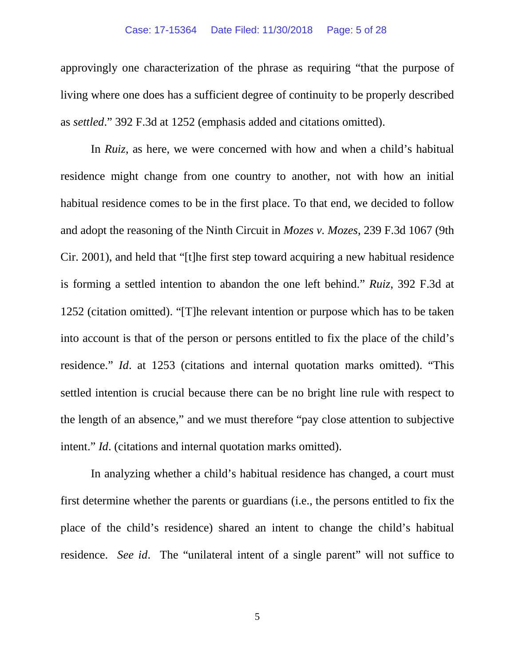#### Case: 17-15364 Date Filed: 11/30/2018 Page: 5 of 28

approvingly one characterization of the phrase as requiring "that the purpose of living where one does has a sufficient degree of continuity to be properly described as *settled*." 392 F.3d at 1252 (emphasis added and citations omitted).

In *Ruiz*, as here, we were concerned with how and when a child's habitual residence might change from one country to another, not with how an initial habitual residence comes to be in the first place. To that end, we decided to follow and adopt the reasoning of the Ninth Circuit in *Mozes v. Mozes*, 239 F.3d 1067 (9th Cir. 2001), and held that "[t]he first step toward acquiring a new habitual residence is forming a settled intention to abandon the one left behind." *Ruiz*, 392 F.3d at 1252 (citation omitted). "[T]he relevant intention or purpose which has to be taken into account is that of the person or persons entitled to fix the place of the child's residence." *Id*. at 1253 (citations and internal quotation marks omitted). "This settled intention is crucial because there can be no bright line rule with respect to the length of an absence," and we must therefore "pay close attention to subjective intent." *Id*. (citations and internal quotation marks omitted).

In analyzing whether a child's habitual residence has changed, a court must first determine whether the parents or guardians (i.e., the persons entitled to fix the place of the child's residence) shared an intent to change the child's habitual residence. *See id*. The "unilateral intent of a single parent" will not suffice to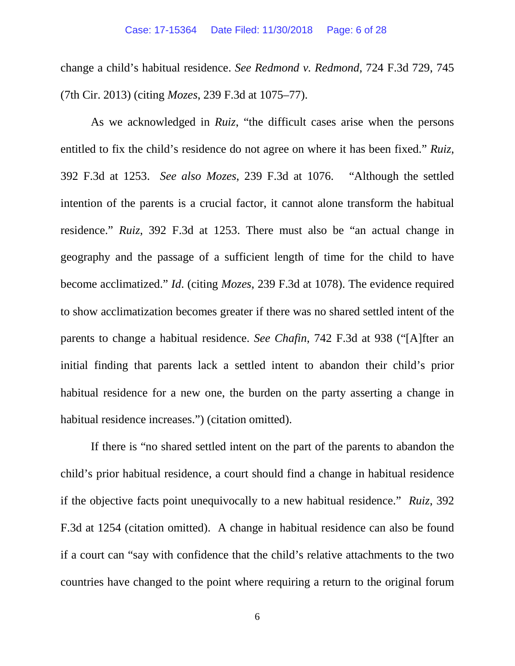change a child's habitual residence. *See Redmond v. Redmond*, 724 F.3d 729, 745 (7th Cir. 2013) (citing *Mozes*, 239 F.3d at 1075–77).

As we acknowledged in *Ruiz*, "the difficult cases arise when the persons entitled to fix the child's residence do not agree on where it has been fixed." *Ruiz*, 392 F.3d at 1253. *See also Mozes*, 239 F.3d at 1076. "Although the settled intention of the parents is a crucial factor, it cannot alone transform the habitual residence." *Ruiz*, 392 F.3d at 1253. There must also be "an actual change in geography and the passage of a sufficient length of time for the child to have become acclimatized." *Id*. (citing *Mozes*, 239 F.3d at 1078). The evidence required to show acclimatization becomes greater if there was no shared settled intent of the parents to change a habitual residence. *See Chafin*, 742 F.3d at 938 ("[A]fter an initial finding that parents lack a settled intent to abandon their child's prior habitual residence for a new one, the burden on the party asserting a change in habitual residence increases.") (citation omitted).

If there is "no shared settled intent on the part of the parents to abandon the child's prior habitual residence, a court should find a change in habitual residence if the objective facts point unequivocally to a new habitual residence." *Ruiz*, 392 F.3d at 1254 (citation omitted). A change in habitual residence can also be found if a court can "say with confidence that the child's relative attachments to the two countries have changed to the point where requiring a return to the original forum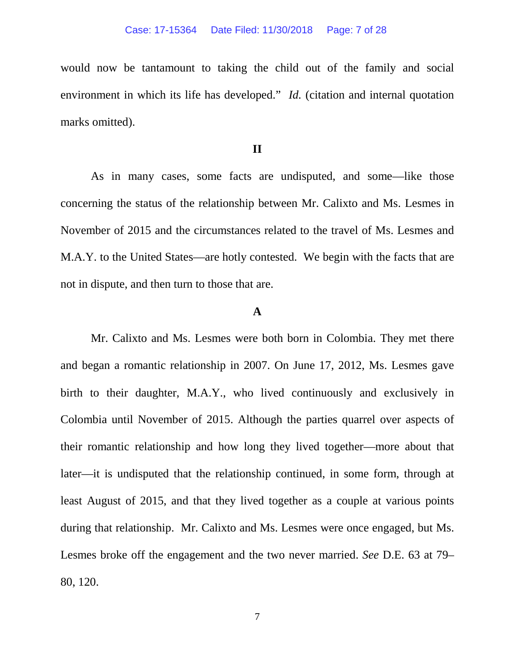would now be tantamount to taking the child out of the family and social environment in which its life has developed." *Id.* (citation and internal quotation marks omitted).

## **II**

As in many cases, some facts are undisputed, and some—like those concerning the status of the relationship between Mr. Calixto and Ms. Lesmes in November of 2015 and the circumstances related to the travel of Ms. Lesmes and M.A.Y. to the United States—are hotly contested. We begin with the facts that are not in dispute, and then turn to those that are.

## **A**

Mr. Calixto and Ms. Lesmes were both born in Colombia. They met there and began a romantic relationship in 2007. On June 17, 2012, Ms. Lesmes gave birth to their daughter, M.A.Y., who lived continuously and exclusively in Colombia until November of 2015. Although the parties quarrel over aspects of their romantic relationship and how long they lived together—more about that later—it is undisputed that the relationship continued, in some form, through at least August of 2015, and that they lived together as a couple at various points during that relationship. Mr. Calixto and Ms. Lesmes were once engaged, but Ms. Lesmes broke off the engagement and the two never married. *See* D.E. 63 at 79– 80, 120.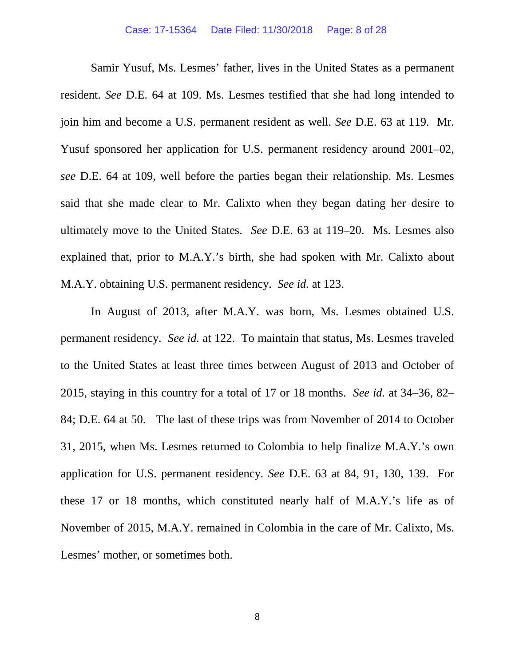Samir Yusuf, Ms. Lesmes' father, lives in the United States as a permanent resident. *See* D.E. 64 at 109. Ms. Lesmes testified that she had long intended to join him and become a U.S. permanent resident as well. *See* D.E. 63 at 119. Mr. Yusuf sponsored her application for U.S. permanent residency around 2001–02, *see* D.E. 64 at 109, well before the parties began their relationship. Ms. Lesmes said that she made clear to Mr. Calixto when they began dating her desire to ultimately move to the United States. *See* D.E. 63 at 119–20. Ms. Lesmes also explained that, prior to M.A.Y.'s birth, she had spoken with Mr. Calixto about M.A.Y. obtaining U.S. permanent residency. *See id.* at 123.

In August of 2013, after M.A.Y. was born, Ms. Lesmes obtained U.S. permanent residency. *See id.* at 122. To maintain that status, Ms. Lesmes traveled to the United States at least three times between August of 2013 and October of 2015, staying in this country for a total of 17 or 18 months. *See id.* at 34–36, 82– 84; D.E. 64 at 50. The last of these trips was from November of 2014 to October 31, 2015, when Ms. Lesmes returned to Colombia to help finalize M.A.Y.'s own application for U.S. permanent residency. *See* D.E. 63 at 84, 91, 130, 139. For these 17 or 18 months, which constituted nearly half of M.A.Y.'s life as of November of 2015, M.A.Y. remained in Colombia in the care of Mr. Calixto, Ms. Lesmes' mother, or sometimes both.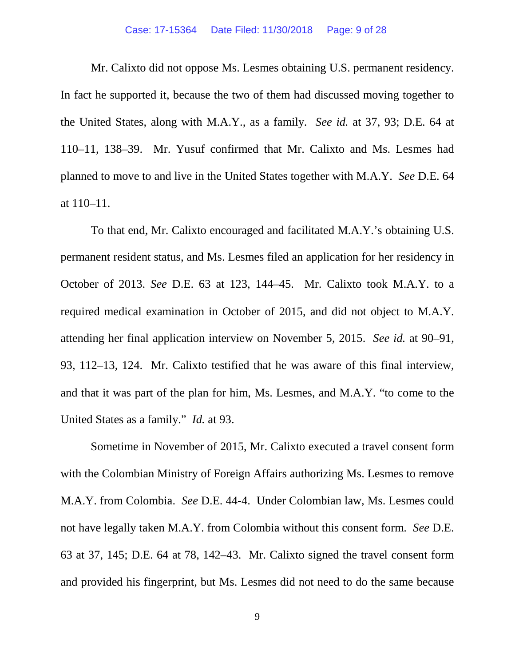### Case: 17-15364 Date Filed: 11/30/2018 Page: 9 of 28

Mr. Calixto did not oppose Ms. Lesmes obtaining U.S. permanent residency. In fact he supported it, because the two of them had discussed moving together to the United States, along with M.A.Y., as a family. *See id.* at 37, 93; D.E. 64 at 110–11, 138–39. Mr. Yusuf confirmed that Mr. Calixto and Ms. Lesmes had planned to move to and live in the United States together with M.A.Y. *See* D.E. 64 at 110–11.

To that end, Mr. Calixto encouraged and facilitated M.A.Y.'s obtaining U.S. permanent resident status, and Ms. Lesmes filed an application for her residency in October of 2013. *See* D.E. 63 at 123, 144–45.Mr. Calixto took M.A.Y. to a required medical examination in October of 2015, and did not object to M.A.Y. attending her final application interview on November 5, 2015. *See id.* at 90–91, 93, 112–13, 124. Mr. Calixto testified that he was aware of this final interview, and that it was part of the plan for him, Ms. Lesmes, and M.A.Y. "to come to the United States as a family." *Id.* at 93.

Sometime in November of 2015, Mr. Calixto executed a travel consent form with the Colombian Ministry of Foreign Affairs authorizing Ms. Lesmes to remove M.A.Y. from Colombia. *See* D.E. 44-4. Under Colombian law, Ms. Lesmes could not have legally taken M.A.Y. from Colombia without this consent form. *See* D.E. 63 at 37, 145; D.E. 64 at 78, 142–43. Mr. Calixto signed the travel consent form and provided his fingerprint, but Ms. Lesmes did not need to do the same because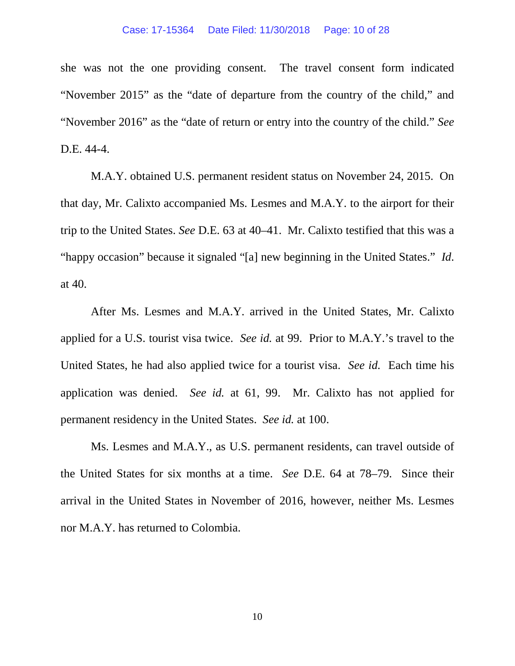#### Case: 17-15364 Date Filed: 11/30/2018 Page: 10 of 28

she was not the one providing consent. The travel consent form indicated "November 2015" as the "date of departure from the country of the child," and "November 2016" as the "date of return or entry into the country of the child." *See*  D.E. 44-4.

M.A.Y. obtained U.S. permanent resident status on November 24, 2015. On that day, Mr. Calixto accompanied Ms. Lesmes and M.A.Y. to the airport for their trip to the United States. *See* D.E. 63 at 40–41. Mr. Calixto testified that this was a "happy occasion" because it signaled "[a] new beginning in the United States." *Id*. at 40.

After Ms. Lesmes and M.A.Y. arrived in the United States, Mr. Calixto applied for a U.S. tourist visa twice. *See id.* at 99. Prior to M.A.Y.'s travel to the United States, he had also applied twice for a tourist visa. *See id.* Each time his application was denied. *See id.* at 61, 99. Mr. Calixto has not applied for permanent residency in the United States. *See id.* at 100.

Ms. Lesmes and M.A.Y., as U.S. permanent residents, can travel outside of the United States for six months at a time. *See* D.E. 64 at 78–79. Since their arrival in the United States in November of 2016, however, neither Ms. Lesmes nor M.A.Y. has returned to Colombia.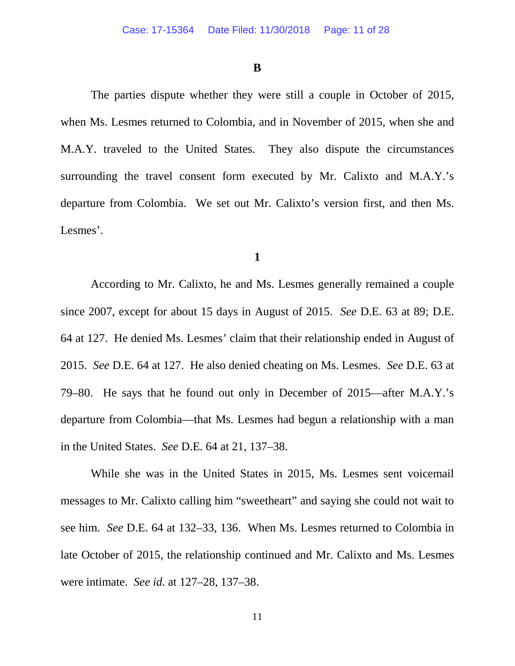## **B**

The parties dispute whether they were still a couple in October of 2015, when Ms. Lesmes returned to Colombia, and in November of 2015, when she and M.A.Y. traveled to the United States. They also dispute the circumstances surrounding the travel consent form executed by Mr. Calixto and M.A.Y.'s departure from Colombia. We set out Mr. Calixto's version first, and then Ms. Lesmes'.

## **1**

According to Mr. Calixto, he and Ms. Lesmes generally remained a couple since 2007, except for about 15 days in August of 2015. *See* D.E. 63 at 89; D.E. 64 at 127. He denied Ms. Lesmes' claim that their relationship ended in August of 2015. *See* D.E. 64 at 127. He also denied cheating on Ms. Lesmes. *See* D.E. 63 at 79–80. He says that he found out only in December of 2015—after M.A.Y.'s departure from Colombia—that Ms. Lesmes had begun a relationship with a man in the United States. *See* D.E. 64 at 21, 137–38.

While she was in the United States in 2015, Ms. Lesmes sent voicemail messages to Mr. Calixto calling him "sweetheart" and saying she could not wait to see him. *See* D.E. 64 at 132–33, 136. When Ms. Lesmes returned to Colombia in late October of 2015, the relationship continued and Mr. Calixto and Ms. Lesmes were intimate. *See id.* at 127–28, 137–38.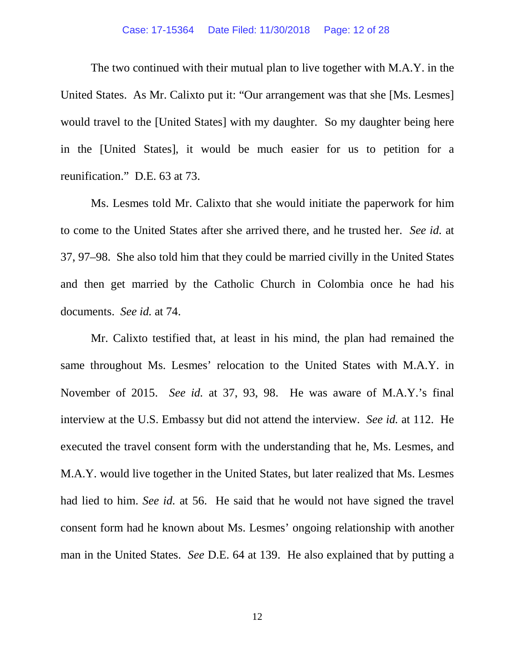#### Case: 17-15364 Date Filed: 11/30/2018 Page: 12 of 28

The two continued with their mutual plan to live together with M.A.Y. in the United States. As Mr. Calixto put it: "Our arrangement was that she [Ms. Lesmes] would travel to the [United States] with my daughter. So my daughter being here in the [United States], it would be much easier for us to petition for a reunification." D.E. 63 at 73.

Ms. Lesmes told Mr. Calixto that she would initiate the paperwork for him to come to the United States after she arrived there, and he trusted her. *See id.* at 37, 97–98. She also told him that they could be married civilly in the United States and then get married by the Catholic Church in Colombia once he had his documents. *See id.* at 74.

Mr. Calixto testified that, at least in his mind, the plan had remained the same throughout Ms. Lesmes' relocation to the United States with M.A.Y. in November of 2015. *See id.* at 37, 93, 98. He was aware of M.A.Y.'s final interview at the U.S. Embassy but did not attend the interview. *See id.* at 112. He executed the travel consent form with the understanding that he, Ms. Lesmes, and M.A.Y. would live together in the United States, but later realized that Ms. Lesmes had lied to him. *See id.* at 56. He said that he would not have signed the travel consent form had he known about Ms. Lesmes' ongoing relationship with another man in the United States. *See* D.E. 64 at 139. He also explained that by putting a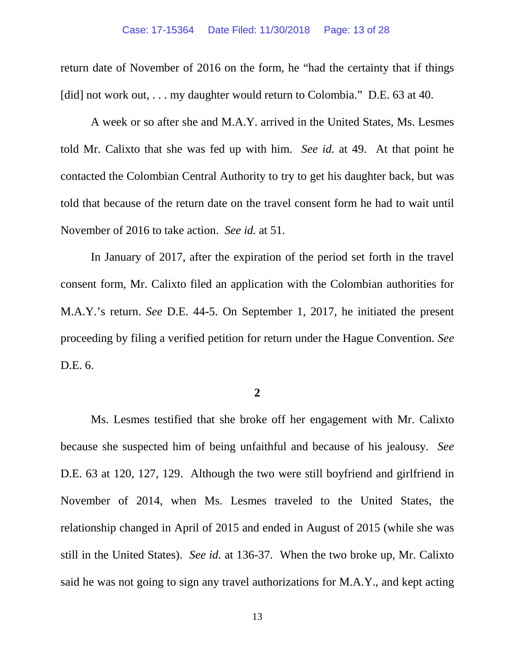return date of November of 2016 on the form, he "had the certainty that if things [did] not work out, . . . my daughter would return to Colombia." D.E. 63 at 40.

A week or so after she and M.A.Y. arrived in the United States, Ms. Lesmes told Mr. Calixto that she was fed up with him. *See id.* at 49. At that point he contacted the Colombian Central Authority to try to get his daughter back, but was told that because of the return date on the travel consent form he had to wait until November of 2016 to take action. *See id.* at 51.

In January of 2017, after the expiration of the period set forth in the travel consent form, Mr. Calixto filed an application with the Colombian authorities for M.A.Y.'s return. *See* D.E. 44-5. On September 1, 2017, he initiated the present proceeding by filing a verified petition for return under the Hague Convention. *See* D.E. 6.

**2**

Ms. Lesmes testified that she broke off her engagement with Mr. Calixto because she suspected him of being unfaithful and because of his jealousy. *See*  D.E. 63 at 120, 127, 129. Although the two were still boyfriend and girlfriend in November of 2014, when Ms. Lesmes traveled to the United States, the relationship changed in April of 2015 and ended in August of 2015 (while she was still in the United States). *See id.* at 136-37. When the two broke up, Mr. Calixto said he was not going to sign any travel authorizations for M.A.Y., and kept acting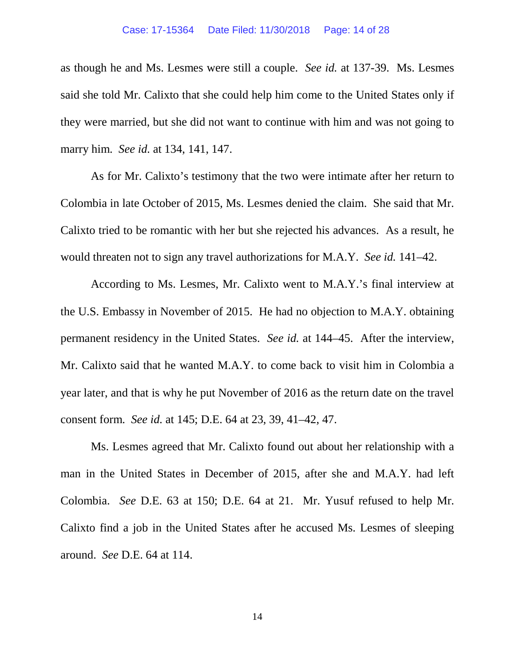#### Case: 17-15364 Date Filed: 11/30/2018 Page: 14 of 28

as though he and Ms. Lesmes were still a couple. *See id.* at 137-39. Ms. Lesmes said she told Mr. Calixto that she could help him come to the United States only if they were married, but she did not want to continue with him and was not going to marry him. *See id.* at 134, 141, 147.

As for Mr. Calixto's testimony that the two were intimate after her return to Colombia in late October of 2015, Ms. Lesmes denied the claim. She said that Mr. Calixto tried to be romantic with her but she rejected his advances. As a result, he would threaten not to sign any travel authorizations for M.A.Y. *See id.* 141–42.

According to Ms. Lesmes, Mr. Calixto went to M.A.Y.'s final interview at the U.S. Embassy in November of 2015. He had no objection to M.A.Y. obtaining permanent residency in the United States. *See id.* at 144–45. After the interview, Mr. Calixto said that he wanted M.A.Y. to come back to visit him in Colombia a year later, and that is why he put November of 2016 as the return date on the travel consent form. *See id.* at 145; D.E. 64 at 23, 39, 41–42, 47.

Ms. Lesmes agreed that Mr. Calixto found out about her relationship with a man in the United States in December of 2015, after she and M.A.Y. had left Colombia. *See* D.E. 63 at 150; D.E. 64 at 21. Mr. Yusuf refused to help Mr. Calixto find a job in the United States after he accused Ms. Lesmes of sleeping around. *See* D.E. 64 at 114.

14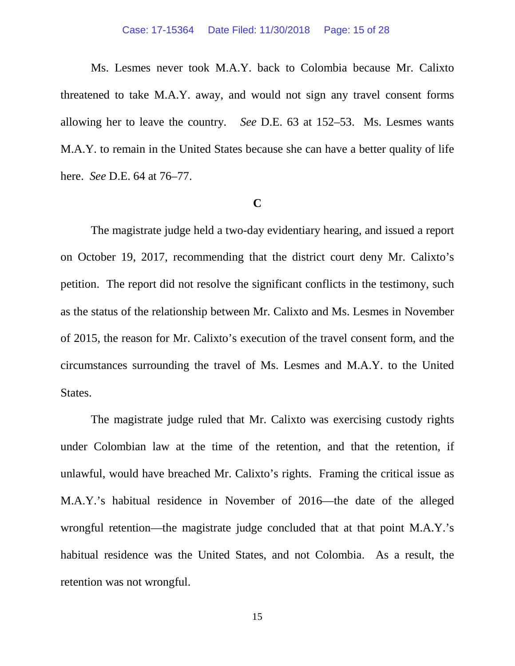Ms. Lesmes never took M.A.Y. back to Colombia because Mr. Calixto threatened to take M.A.Y. away, and would not sign any travel consent forms allowing her to leave the country. *See* D.E. 63 at 152–53. Ms. Lesmes wants M.A.Y. to remain in the United States because she can have a better quality of life here. *See* D.E. 64 at 76–77.

## **C**

The magistrate judge held a two-day evidentiary hearing, and issued a report on October 19, 2017, recommending that the district court deny Mr. Calixto's petition. The report did not resolve the significant conflicts in the testimony, such as the status of the relationship between Mr. Calixto and Ms. Lesmes in November of 2015, the reason for Mr. Calixto's execution of the travel consent form, and the circumstances surrounding the travel of Ms. Lesmes and M.A.Y. to the United States.

The magistrate judge ruled that Mr. Calixto was exercising custody rights under Colombian law at the time of the retention, and that the retention, if unlawful, would have breached Mr. Calixto's rights. Framing the critical issue as M.A.Y.'s habitual residence in November of 2016—the date of the alleged wrongful retention—the magistrate judge concluded that at that point M.A.Y.'s habitual residence was the United States, and not Colombia. As a result, the retention was not wrongful.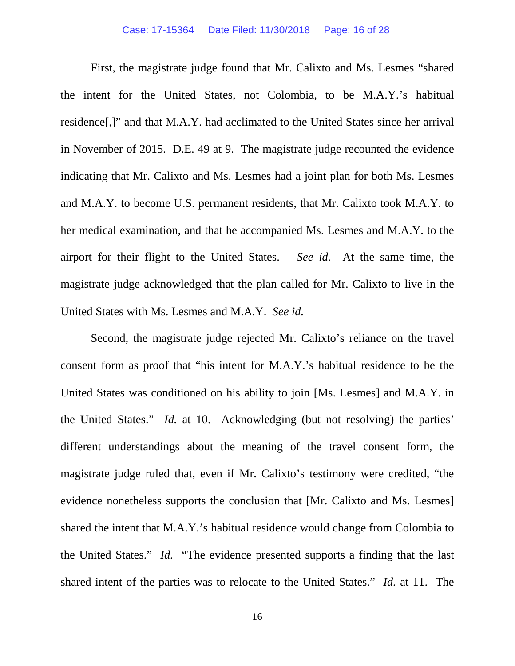First, the magistrate judge found that Mr. Calixto and Ms. Lesmes "shared the intent for the United States, not Colombia, to be M.A.Y.'s habitual residence[,]" and that M.A.Y. had acclimated to the United States since her arrival in November of 2015. D.E. 49 at 9. The magistrate judge recounted the evidence indicating that Mr. Calixto and Ms. Lesmes had a joint plan for both Ms. Lesmes and M.A.Y. to become U.S. permanent residents, that Mr. Calixto took M.A.Y. to her medical examination, and that he accompanied Ms. Lesmes and M.A.Y. to the airport for their flight to the United States. *See id.* At the same time, the magistrate judge acknowledged that the plan called for Mr. Calixto to live in the United States with Ms. Lesmes and M.A.Y. *See id.*

Second, the magistrate judge rejected Mr. Calixto's reliance on the travel consent form as proof that "his intent for M.A.Y.'s habitual residence to be the United States was conditioned on his ability to join [Ms. Lesmes] and M.A.Y. in the United States." *Id.* at 10. Acknowledging (but not resolving) the parties' different understandings about the meaning of the travel consent form, the magistrate judge ruled that, even if Mr. Calixto's testimony were credited, "the evidence nonetheless supports the conclusion that [Mr. Calixto and Ms. Lesmes] shared the intent that M.A.Y.'s habitual residence would change from Colombia to the United States." *Id.* "The evidence presented supports a finding that the last shared intent of the parties was to relocate to the United States." *Id.* at 11. The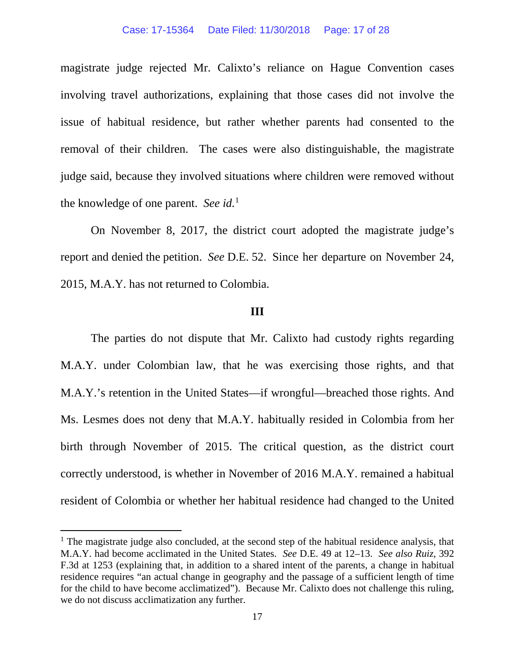magistrate judge rejected Mr. Calixto's reliance on Hague Convention cases involving travel authorizations, explaining that those cases did not involve the issue of habitual residence, but rather whether parents had consented to the removal of their children. The cases were also distinguishable, the magistrate judge said, because they involved situations where children were removed without the knowledge of one parent. *See id.*[1](#page-16-0) 

On November 8, 2017, the district court adopted the magistrate judge's report and denied the petition. *See* D.E. 52. Since her departure on November 24, 2015, M.A.Y. has not returned to Colombia.

## **III**

The parties do not dispute that Mr. Calixto had custody rights regarding M.A.Y. under Colombian law, that he was exercising those rights, and that M.A.Y.'s retention in the United States—if wrongful—breached those rights. And Ms. Lesmes does not deny that M.A.Y. habitually resided in Colombia from her birth through November of 2015. The critical question, as the district court correctly understood, is whether in November of 2016 M.A.Y. remained a habitual resident of Colombia or whether her habitual residence had changed to the United

<span id="page-16-0"></span> $<sup>1</sup>$  The magistrate judge also concluded, at the second step of the habitual residence analysis, that</sup> M.A.Y. had become acclimated in the United States. *See* D.E. 49 at 12–13. *See also Ruiz*, 392 F.3d at 1253 (explaining that, in addition to a shared intent of the parents, a change in habitual residence requires "an actual change in geography and the passage of a sufficient length of time for the child to have become acclimatized"). Because Mr. Calixto does not challenge this ruling, we do not discuss acclimatization any further.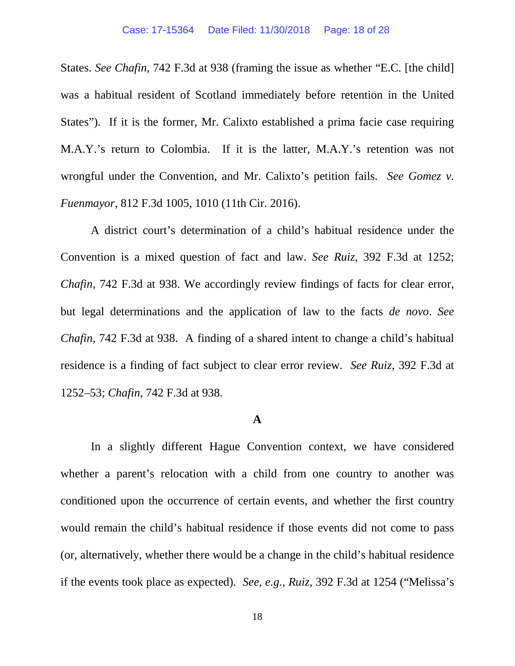States. *See Chafin*, 742 F.3d at 938 (framing the issue as whether "E.C. [the child] was a habitual resident of Scotland immediately before retention in the United States"). If it is the former, Mr. Calixto established a prima facie case requiring M.A.Y.'s return to Colombia. If it is the latter, M.A.Y.'s retention was not wrongful under the Convention, and Mr. Calixto's petition fails. *See Gomez v. Fuenmayor*, 812 F.3d 1005, 1010 (11th Cir. 2016).

A district court's determination of a child's habitual residence under the Convention is a mixed question of fact and law. *See Ruiz*, 392 F.3d at 1252; *Chafin*, 742 F.3d at 938. We accordingly review findings of facts for clear error, but legal determinations and the application of law to the facts *de novo*. *See Chafin*, 742 F.3d at 938. A finding of a shared intent to change a child's habitual residence is a finding of fact subject to clear error review. *See Ruiz*, 392 F.3d at 1252–53; *Chafin*, 742 F.3d at 938.

## **A**

In a slightly different Hague Convention context, we have considered whether a parent's relocation with a child from one country to another was conditioned upon the occurrence of certain events, and whether the first country would remain the child's habitual residence if those events did not come to pass (or, alternatively, whether there would be a change in the child's habitual residence if the events took place as expected). *See, e.g., Ruiz*, 392 F.3d at 1254 ("Melissa's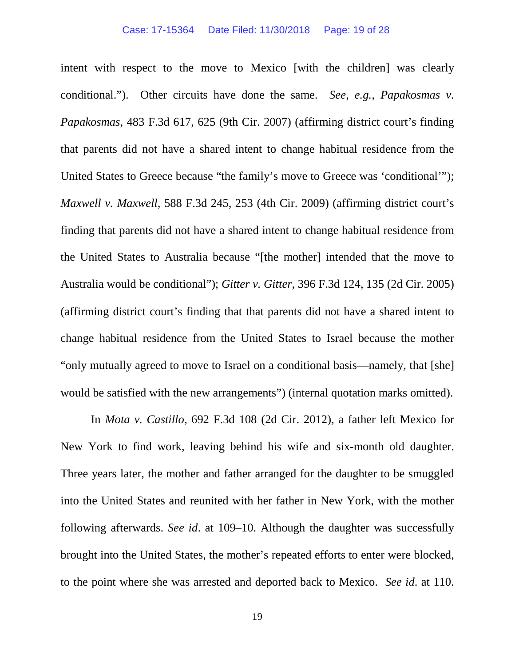intent with respect to the move to Mexico [with the children] was clearly conditional."). Other circuits have done the same. *See, e.g., Papakosmas v. Papakosmas*, 483 F.3d 617, 625 (9th Cir. 2007) (affirming district court's finding that parents did not have a shared intent to change habitual residence from the United States to Greece because "the family's move to Greece was 'conditional'"); *Maxwell v. Maxwell*, 588 F.3d 245, 253 (4th Cir. 2009) (affirming district court's finding that parents did not have a shared intent to change habitual residence from the United States to Australia because "[the mother] intended that the move to Australia would be conditional"); *Gitter v. Gitter*, 396 F.3d 124, 135 (2d Cir. 2005) (affirming district court's finding that that parents did not have a shared intent to change habitual residence from the United States to Israel because the mother "only mutually agreed to move to Israel on a conditional basis—namely, that [she] would be satisfied with the new arrangements") (internal quotation marks omitted).

In *Mota v. Castillo*, 692 F.3d 108 (2d Cir. 2012), a father left Mexico for New York to find work, leaving behind his wife and six-month old daughter. Three years later, the mother and father arranged for the daughter to be smuggled into the United States and reunited with her father in New York, with the mother following afterwards. *See id*. at 109–10. Although the daughter was successfully brought into the United States, the mother's repeated efforts to enter were blocked, to the point where she was arrested and deported back to Mexico. *See id*. at 110.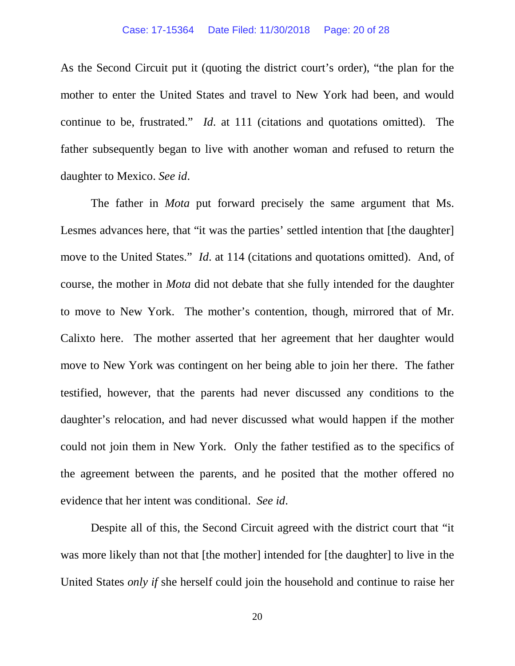As the Second Circuit put it (quoting the district court's order), "the plan for the mother to enter the United States and travel to New York had been, and would continue to be, frustrated." *Id*. at 111 (citations and quotations omitted). The father subsequently began to live with another woman and refused to return the daughter to Mexico. *See id*.

The father in *Mota* put forward precisely the same argument that Ms. Lesmes advances here, that "it was the parties' settled intention that [the daughter] move to the United States." *Id*. at 114 (citations and quotations omitted). And, of course, the mother in *Mota* did not debate that she fully intended for the daughter to move to New York. The mother's contention, though, mirrored that of Mr. Calixto here. The mother asserted that her agreement that her daughter would move to New York was contingent on her being able to join her there. The father testified, however, that the parents had never discussed any conditions to the daughter's relocation, and had never discussed what would happen if the mother could not join them in New York. Only the father testified as to the specifics of the agreement between the parents, and he posited that the mother offered no evidence that her intent was conditional. *See id*.

Despite all of this, the Second Circuit agreed with the district court that "it was more likely than not that [the mother] intended for [the daughter] to live in the United States *only if* she herself could join the household and continue to raise her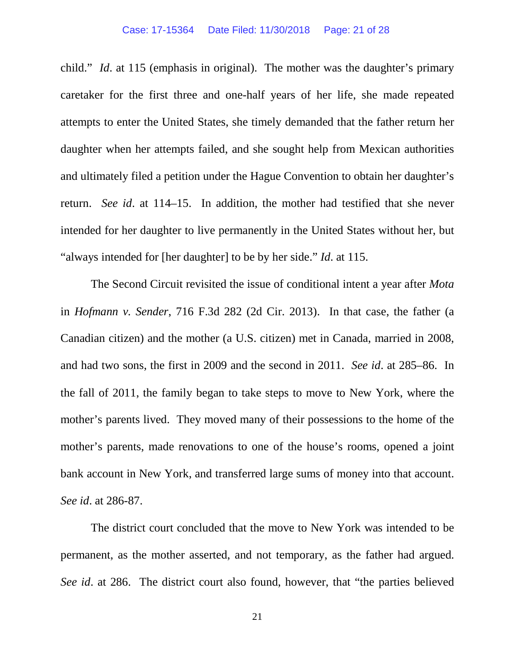#### Case: 17-15364 Date Filed: 11/30/2018 Page: 21 of 28

child." *Id*. at 115 (emphasis in original). The mother was the daughter's primary caretaker for the first three and one-half years of her life, she made repeated attempts to enter the United States, she timely demanded that the father return her daughter when her attempts failed, and she sought help from Mexican authorities and ultimately filed a petition under the Hague Convention to obtain her daughter's return. *See id*. at 114–15. In addition, the mother had testified that she never intended for her daughter to live permanently in the United States without her, but "always intended for [her daughter] to be by her side." *Id*. at 115.

The Second Circuit revisited the issue of conditional intent a year after *Mota*  in *Hofmann v. Sender*, 716 F.3d 282 (2d Cir. 2013). In that case, the father (a Canadian citizen) and the mother (a U.S. citizen) met in Canada, married in 2008, and had two sons, the first in 2009 and the second in 2011. *See id*. at 285–86. In the fall of 2011, the family began to take steps to move to New York, where the mother's parents lived. They moved many of their possessions to the home of the mother's parents, made renovations to one of the house's rooms, opened a joint bank account in New York, and transferred large sums of money into that account. *See id*. at 286-87.

The district court concluded that the move to New York was intended to be permanent, as the mother asserted, and not temporary, as the father had argued. *See id*. at 286. The district court also found, however, that "the parties believed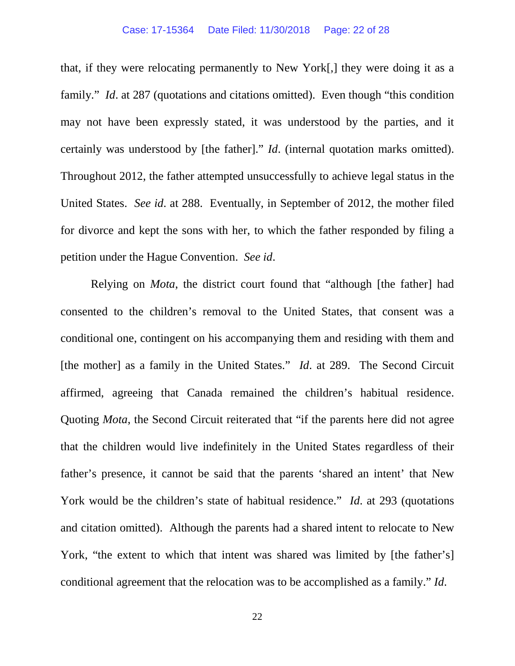## Case: 17-15364 Date Filed: 11/30/2018 Page: 22 of 28

that, if they were relocating permanently to New York[,] they were doing it as a family." *Id.* at 287 (quotations and citations omitted). Even though "this condition may not have been expressly stated, it was understood by the parties, and it certainly was understood by [the father]." *Id*. (internal quotation marks omitted). Throughout 2012, the father attempted unsuccessfully to achieve legal status in the United States. *See id*. at 288. Eventually, in September of 2012, the mother filed for divorce and kept the sons with her, to which the father responded by filing a petition under the Hague Convention. *See id*.

Relying on *Mota*, the district court found that "although [the father] had consented to the children's removal to the United States, that consent was a conditional one, contingent on his accompanying them and residing with them and [the mother] as a family in the United States." *Id*. at 289. The Second Circuit affirmed, agreeing that Canada remained the children's habitual residence. Quoting *Mota*, the Second Circuit reiterated that "if the parents here did not agree that the children would live indefinitely in the United States regardless of their father's presence, it cannot be said that the parents 'shared an intent' that New York would be the children's state of habitual residence." *Id*. at 293 (quotations and citation omitted). Although the parents had a shared intent to relocate to New York, "the extent to which that intent was shared was limited by [the father's] conditional agreement that the relocation was to be accomplished as a family." *Id*.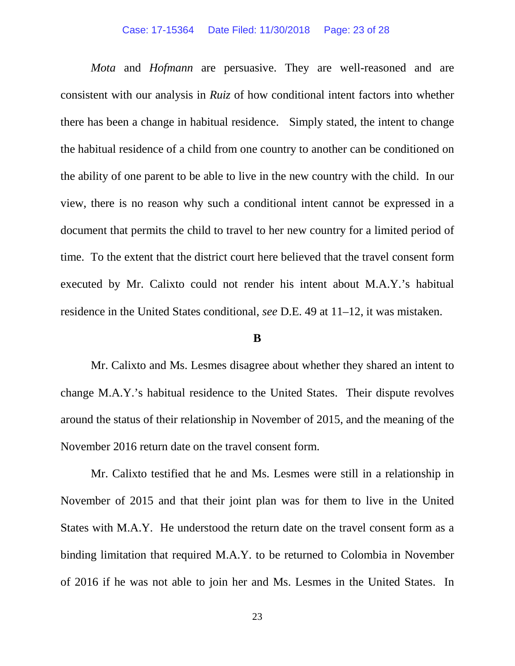#### Case: 17-15364 Date Filed: 11/30/2018 Page: 23 of 28

*Mota* and *Hofmann* are persuasive. They are well-reasoned and are consistent with our analysis in *Ruiz* of how conditional intent factors into whether there has been a change in habitual residence. Simply stated, the intent to change the habitual residence of a child from one country to another can be conditioned on the ability of one parent to be able to live in the new country with the child. In our view, there is no reason why such a conditional intent cannot be expressed in a document that permits the child to travel to her new country for a limited period of time. To the extent that the district court here believed that the travel consent form executed by Mr. Calixto could not render his intent about M.A.Y.'s habitual residence in the United States conditional, *see* D.E. 49 at 11–12, it was mistaken.

## **B**

Mr. Calixto and Ms. Lesmes disagree about whether they shared an intent to change M.A.Y.'s habitual residence to the United States. Their dispute revolves around the status of their relationship in November of 2015, and the meaning of the November 2016 return date on the travel consent form.

Mr. Calixto testified that he and Ms. Lesmes were still in a relationship in November of 2015 and that their joint plan was for them to live in the United States with M.A.Y. He understood the return date on the travel consent form as a binding limitation that required M.A.Y. to be returned to Colombia in November of 2016 if he was not able to join her and Ms. Lesmes in the United States. In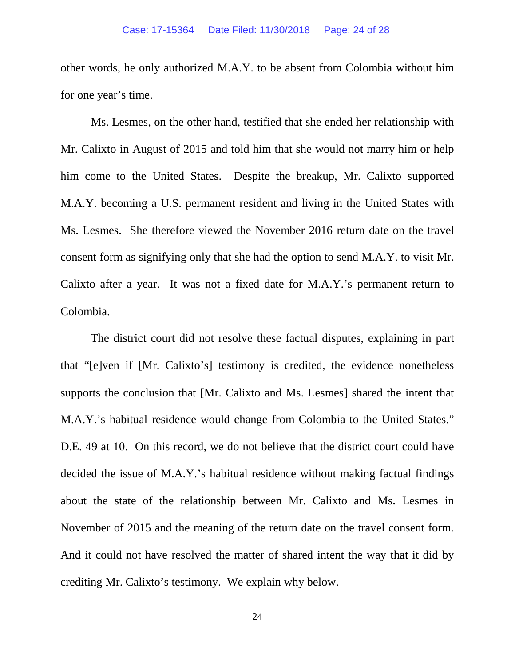other words, he only authorized M.A.Y. to be absent from Colombia without him for one year's time.

Ms. Lesmes, on the other hand, testified that she ended her relationship with Mr. Calixto in August of 2015 and told him that she would not marry him or help him come to the United States. Despite the breakup, Mr. Calixto supported M.A.Y. becoming a U.S. permanent resident and living in the United States with Ms. Lesmes. She therefore viewed the November 2016 return date on the travel consent form as signifying only that she had the option to send M.A.Y. to visit Mr. Calixto after a year. It was not a fixed date for M.A.Y.'s permanent return to Colombia.

The district court did not resolve these factual disputes, explaining in part that "[e]ven if [Mr. Calixto's] testimony is credited, the evidence nonetheless supports the conclusion that [Mr. Calixto and Ms. Lesmes] shared the intent that M.A.Y.'s habitual residence would change from Colombia to the United States." D.E. 49 at 10. On this record, we do not believe that the district court could have decided the issue of M.A.Y.'s habitual residence without making factual findings about the state of the relationship between Mr. Calixto and Ms. Lesmes in November of 2015 and the meaning of the return date on the travel consent form. And it could not have resolved the matter of shared intent the way that it did by crediting Mr. Calixto's testimony. We explain why below.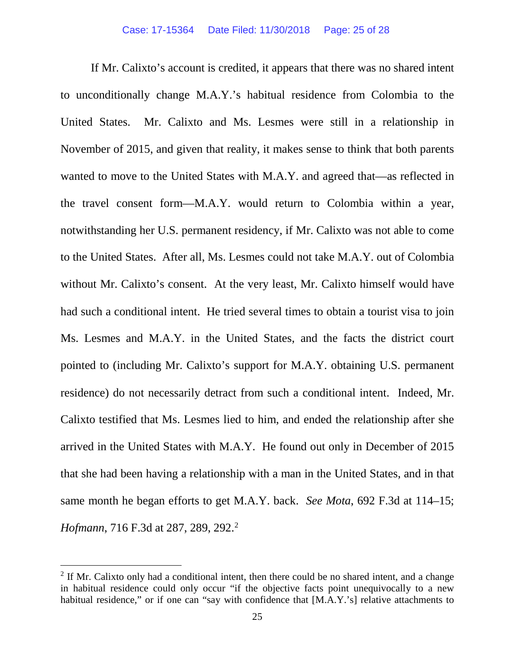If Mr. Calixto's account is credited, it appears that there was no shared intent to unconditionally change M.A.Y.'s habitual residence from Colombia to the United States. Mr. Calixto and Ms. Lesmes were still in a relationship in November of 2015, and given that reality, it makes sense to think that both parents wanted to move to the United States with M.A.Y. and agreed that—as reflected in the travel consent form—M.A.Y. would return to Colombia within a year, notwithstanding her U.S. permanent residency, if Mr. Calixto was not able to come to the United States. After all, Ms. Lesmes could not take M.A.Y. out of Colombia without Mr. Calixto's consent. At the very least, Mr. Calixto himself would have had such a conditional intent. He tried several times to obtain a tourist visa to join Ms. Lesmes and M.A.Y. in the United States, and the facts the district court pointed to (including Mr. Calixto's support for M.A.Y. obtaining U.S. permanent residence) do not necessarily detract from such a conditional intent. Indeed, Mr. Calixto testified that Ms. Lesmes lied to him, and ended the relationship after she arrived in the United States with M.A.Y. He found out only in December of 2015 that she had been having a relationship with a man in the United States, and in that same month he began efforts to get M.A.Y. back. *See Mota*, 692 F.3d at 114–15; *Hofmann*, 716 F.3d at [2](#page-24-0)87, 289, 292.<sup>2</sup>

<span id="page-24-0"></span> $2$  If Mr. Calixto only had a conditional intent, then there could be no shared intent, and a change in habitual residence could only occur "if the objective facts point unequivocally to a new habitual residence," or if one can "say with confidence that [M.A.Y.'s] relative attachments to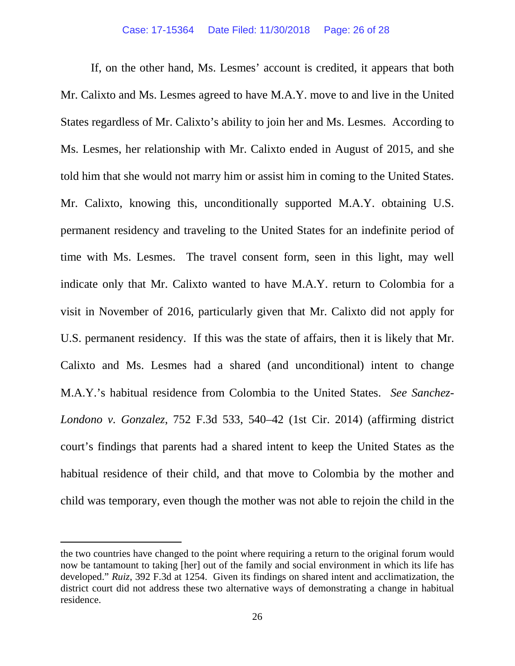If, on the other hand, Ms. Lesmes' account is credited, it appears that both Mr. Calixto and Ms. Lesmes agreed to have M.A.Y. move to and live in the United States regardless of Mr. Calixto's ability to join her and Ms. Lesmes. According to Ms. Lesmes, her relationship with Mr. Calixto ended in August of 2015, and she told him that she would not marry him or assist him in coming to the United States. Mr. Calixto, knowing this, unconditionally supported M.A.Y. obtaining U.S. permanent residency and traveling to the United States for an indefinite period of time with Ms. Lesmes. The travel consent form, seen in this light, may well indicate only that Mr. Calixto wanted to have M.A.Y. return to Colombia for a visit in November of 2016, particularly given that Mr. Calixto did not apply for U.S. permanent residency. If this was the state of affairs, then it is likely that Mr. Calixto and Ms. Lesmes had a shared (and unconditional) intent to change M.A.Y.'s habitual residence from Colombia to the United States. *See Sanchez-Londono v. Gonzalez*, 752 F.3d 533, 540–42 (1st Cir. 2014) (affirming district court's findings that parents had a shared intent to keep the United States as the habitual residence of their child, and that move to Colombia by the mother and child was temporary, even though the mother was not able to rejoin the child in the

 $\overline{a}$ 

the two countries have changed to the point where requiring a return to the original forum would now be tantamount to taking [her] out of the family and social environment in which its life has developed." *Ruiz*, 392 F.3d at 1254. Given its findings on shared intent and acclimatization, the district court did not address these two alternative ways of demonstrating a change in habitual residence.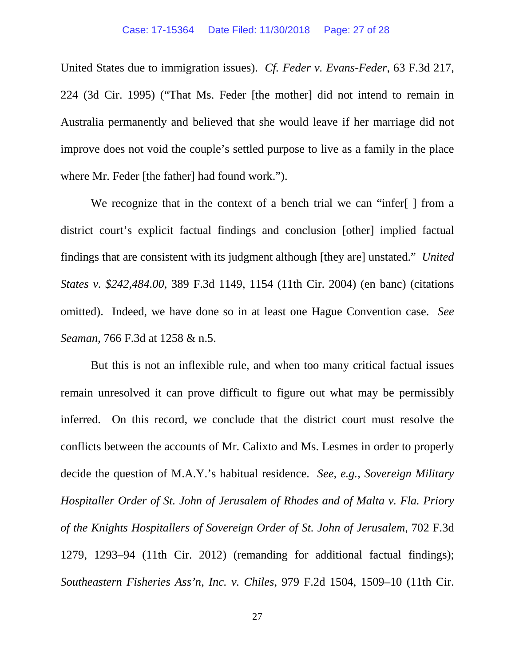United States due to immigration issues). *Cf. Feder v. Evans-Feder*, 63 F.3d 217, 224 (3d Cir. 1995) ("That Ms. Feder [the mother] did not intend to remain in Australia permanently and believed that she would leave if her marriage did not improve does not void the couple's settled purpose to live as a family in the place where Mr. Feder [the father] had found work.").

We recognize that in the context of a bench trial we can "infer[ ] from a district court's explicit factual findings and conclusion [other] implied factual findings that are consistent with its judgment although [they are] unstated." *United States v. \$242,484.00*, 389 F.3d 1149, 1154 (11th Cir. 2004) (en banc) (citations omitted). Indeed, we have done so in at least one Hague Convention case. *See Seaman*, 766 F.3d at 1258 & n.5.

But this is not an inflexible rule, and when too many critical factual issues remain unresolved it can prove difficult to figure out what may be permissibly inferred. On this record, we conclude that the district court must resolve the conflicts between the accounts of Mr. Calixto and Ms. Lesmes in order to properly decide the question of M.A.Y.'s habitual residence. *See, e.g., Sovereign Military Hospitaller Order of St. John of Jerusalem of Rhodes and of Malta v. Fla. Priory of the Knights Hospitallers of Sovereign Order of St. John of Jerusalem*, 702 F.3d 1279, 1293–94 (11th Cir. 2012) (remanding for additional factual findings); *Southeastern Fisheries Ass'n, Inc. v. Chiles*, 979 F.2d 1504, 1509–10 (11th Cir.